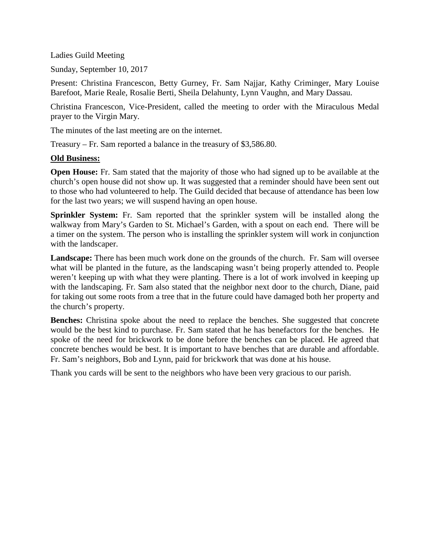Ladies Guild Meeting

Sunday, September 10, 2017

Present: Christina Francescon, Betty Gurney, Fr. Sam Najjar, Kathy Criminger, Mary Louise Barefoot, Marie Reale, Rosalie Berti, Sheila Delahunty, Lynn Vaughn, and Mary Dassau.

Christina Francescon, Vice-President, called the meeting to order with the Miraculous Medal prayer to the Virgin Mary.

The minutes of the last meeting are on the internet.

Treasury – Fr. Sam reported a balance in the treasury of \$3,586.80.

## **Old Business:**

**Open House:** Fr. Sam stated that the majority of those who had signed up to be available at the church's open house did not show up. It was suggested that a reminder should have been sent out to those who had volunteered to help. The Guild decided that because of attendance has been low for the last two years; we will suspend having an open house.

**Sprinkler System:** Fr. Sam reported that the sprinkler system will be installed along the walkway from Mary's Garden to St. Michael's Garden, with a spout on each end. There will be a timer on the system. The person who is installing the sprinkler system will work in conjunction with the landscaper.

**Landscape:** There has been much work done on the grounds of the church. Fr. Sam will oversee what will be planted in the future, as the landscaping wasn't being properly attended to. People weren't keeping up with what they were planting. There is a lot of work involved in keeping up with the landscaping. Fr. Sam also stated that the neighbor next door to the church, Diane, paid for taking out some roots from a tree that in the future could have damaged both her property and the church's property.

**Benches:** Christina spoke about the need to replace the benches. She suggested that concrete would be the best kind to purchase. Fr. Sam stated that he has benefactors for the benches. He spoke of the need for brickwork to be done before the benches can be placed. He agreed that concrete benches would be best. It is important to have benches that are durable and affordable. Fr. Sam's neighbors, Bob and Lynn, paid for brickwork that was done at his house.

Thank you cards will be sent to the neighbors who have been very gracious to our parish.